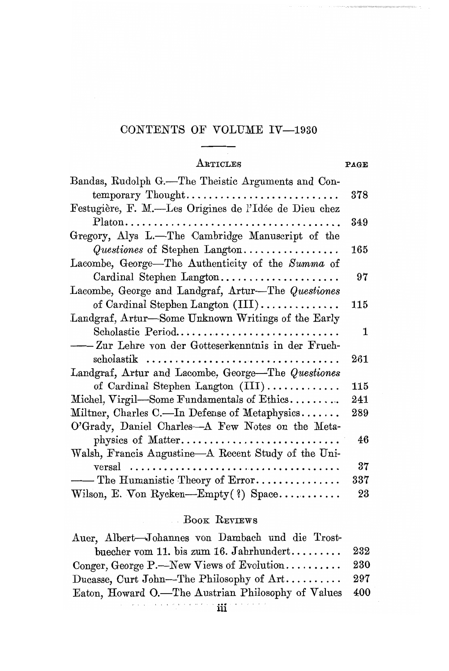# CONTENTS OF VOLUME IV-1930

# ARTICLES PAGE

| Bandas, Rudolph G.-The Theistic Arguments and Con-    |         |
|-------------------------------------------------------|---------|
| temporary Thought                                     | $378\,$ |
| Festugière, F. M.—Les Origines de l'Idée de Dieu chez |         |
|                                                       | 349     |
| Gregory, Alys L.-The Cambridge Manuscript of the      |         |
| $\mathit{Questiones}$ of Stephen Langton              | 165     |
| Lacombe, George-The Authenticity of the Summa of      |         |
| Cardinal Stephen Langton                              | 97      |
| Lacombe, George and Landgraf, Artur—The Questiones    |         |
| of Cardinal Stephen Langton (III)                     | 115     |
| Landgraf, Artur-Some Unknown Writings of the Early    |         |
| Scholastic Period                                     | 1       |
| -Zur Lehre von der Gotteserkenntnis in der Frueh-     |         |
| $\text{scholastik}$                                   | 261     |
| Landgraf, Artur and Lacombe, George—The Questiones    |         |
| of Cardinal Stephen Langton $(III)$                   | 115     |
| Michel, Virgil-Some Fundamentals of Ethics            | 241     |
| Miltner, Charles C.—In Defense of Metaphysics         | 289     |
| O'Grady, Daniel Charles-A Few Notes on the Meta-      |         |
| physics of Matter                                     | 46      |
| Walsh, Francis Augustine—A Recent Study of the Uni-   |         |
|                                                       | 37      |
| - The Humanistic Theory of Error                      | $337\,$ |
| Wilson, E. Von Rycken-Empty(?) Space                  | 23      |

## . BOOK REVIEWS

| Auer, Albert-Johannes von Dambach und die Trost-       |     |
|--------------------------------------------------------|-----|
| buecher vom 11. bis zum 16. Jahrhundert                | 232 |
| Conger, George P.—New Views of Evolution               | 230 |
|                                                        |     |
| Eaton, Howard O.—The Austrian Philosophy of Values 400 |     |
|                                                        |     |

 $\cdots$ iii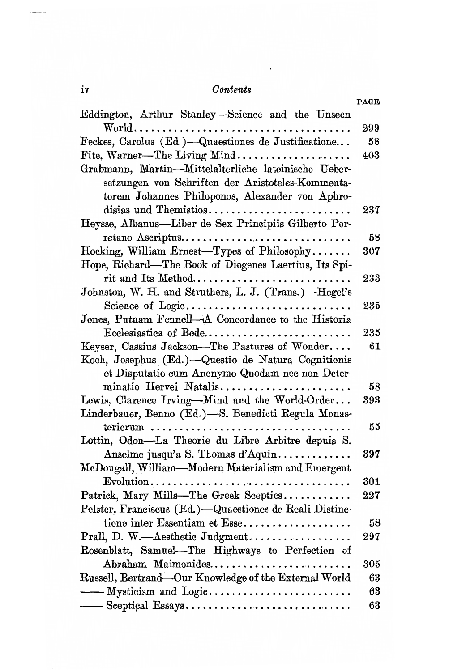#### $Contents$

 $\sim$ 

**DACE** 

| Eddington, Arthur Stanley-Science and the Unseen                                         |     |
|------------------------------------------------------------------------------------------|-----|
|                                                                                          | 299 |
| Feckes, Carolus (Ed.)-Quaestiones de Justificatione                                      | 58  |
| Fite, Warner-The Living Mind                                                             | 403 |
| Grabmann, Martin-Mittelalterliche lateinische Ueber-                                     |     |
| setzungen von Schriften der Aristoteles-Kommenta-                                        |     |
| torem Johannes Philoponos, Alexander von Aphro-                                          |     |
| disias und Themistios                                                                    | 237 |
| Heysse, Albanus-Liber de Sex Principiis Gilberto Por-                                    |     |
| retano Ascriptus                                                                         | 58  |
| Hocking, William Ernest-Types of Philosophy                                              | 307 |
| Hope, Richard-The Book of Diogenes Laertius, Its Spi-                                    |     |
| rit and Its Method                                                                       | 233 |
| Johnston, W. H. and Struthers, L. J. (Trans.)-Hegel's                                    |     |
| Science of Logic                                                                         | 235 |
| Jones, Putnam Fennell-A Concordance to the Historia                                      |     |
| Ecclesiastica of Bede                                                                    | 235 |
| Keyser, Cassius Jackson-The Pastures of Wonder                                           | 61  |
| Koch, Josephus (Ed.)-Questio de Natura Cognitionis                                       |     |
| et Disputatio cum Anonymo Quodam nec non Deter-                                          |     |
| minatio Hervei Natalis                                                                   | 58  |
| Lewis, Clarence Irving-Mind and the World-Order                                          | 393 |
| Linderbauer, Benno (Ed.)-S. Benedicti Regula Monas-                                      |     |
| $teriorum$                                                                               | 55  |
| Lottin, Odon-La Theorie du Libre Arbitre depuis S.                                       |     |
| Anselme jusqu'a S. Thomas d'Aquin                                                        | 397 |
| McDougall, William-Modern Materialism and Emergent                                       |     |
| $Evolution \ldots \ldots \ldots \ldots \ldots \ldots \ldots \ldots \ldots \ldots \ldots$ | 301 |
| Patrick, Mary Mills-The Greek Sceptics                                                   | 227 |
| Pelster, Franciscus (Ed.)-Quaestiones de Reali Distinc-                                  |     |
| tione inter Essentiam et Esse                                                            | 58  |
| Prall, D. W.-Aesthetic Judgment                                                          | 297 |
| Rosenblatt, Samuel-The Highways to Perfection of                                         |     |
| Abraham Maimonides                                                                       | 305 |
| Russell, Bertrand-Our Knowledge of the External World                                    | 63  |
| - Mysticism and Logic                                                                    | 63  |
|                                                                                          | 63  |